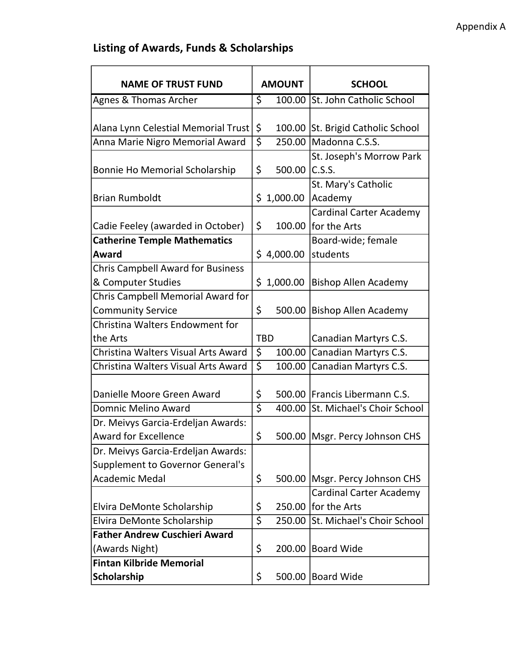## Listing of Awards, Funds & Scholarships

| <b>NAME OF TRUST FUND</b>                                                     |                                 | <b>AMOUNT</b> | <b>SCHOOL</b>                                           |
|-------------------------------------------------------------------------------|---------------------------------|---------------|---------------------------------------------------------|
| Agnes & Thomas Archer                                                         | \$                              |               | 100.00 St. John Catholic School                         |
| Alana Lynn Celestial Memorial Trust                                           | \$                              |               | 100.00 St. Brigid Catholic School                       |
| Anna Marie Nigro Memorial Award                                               | $\overline{\boldsymbol{\zeta}}$ |               | 250.00 Madonna C.S.S.                                   |
| Bonnie Ho Memorial Scholarship                                                | \$                              | 500.00        | St. Joseph's Morrow Park<br>C.S.S.                      |
| <b>Brian Rumboldt</b>                                                         |                                 | \$1,000.00    | St. Mary's Catholic<br>Academy                          |
| Cadie Feeley (awarded in October)                                             | \$                              | 100.00        | <b>Cardinal Carter Academy</b><br>for the Arts          |
| <b>Catherine Temple Mathematics</b><br>Award                                  |                                 | \$4,000.00    | Board-wide; female<br>students                          |
| <b>Chris Campbell Award for Business</b><br>& Computer Studies                |                                 | \$1,000.00    | <b>Bishop Allen Academy</b>                             |
| Chris Campbell Memorial Award for<br><b>Community Service</b>                 | \$                              | 500.00        | <b>Bishop Allen Academy</b>                             |
| Christina Walters Endowment for<br>the Arts                                   |                                 | <b>TBD</b>    | Canadian Martyrs C.S.                                   |
| Christina Walters Visual Arts Award                                           | \$                              | 100.00        | Canadian Martyrs C.S.                                   |
| Christina Walters Visual Arts Award                                           | $\overline{\boldsymbol{\zeta}}$ | 100.00        | Canadian Martyrs C.S.                                   |
| Danielle Moore Green Award                                                    | \$                              |               | 500.00 Francis Libermann C.S.                           |
| Domnic Melino Award                                                           | $\overline{\varsigma}$          | 400.00        | St. Michael's Choir School                              |
| Dr. Meivys Garcia-Erdeljan Awards:<br><b>Award for Excellence</b>             | \$                              |               | 500.00   Msgr. Percy Johnson CHS                        |
| Dr. Meivys Garcia-Erdeljan Awards:<br><b>Supplement to Governor General's</b> |                                 |               |                                                         |
| <b>Academic Medal</b>                                                         | \$                              |               | 500.00   Msgr. Percy Johnson CHS                        |
| Elvira DeMonte Scholarship                                                    | \$                              |               | <b>Cardinal Carter Academy</b><br>250.00   for the Arts |
| Elvira DeMonte Scholarship                                                    | \$                              |               | 250.00 St. Michael's Choir School                       |
| <b>Father Andrew Cuschieri Award</b>                                          |                                 |               |                                                         |
| (Awards Night)                                                                | \$                              | 200.00        | <b>Board Wide</b>                                       |
| <b>Fintan Kilbride Memorial</b><br>Scholarship                                | \$                              |               | 500.00 Board Wide                                       |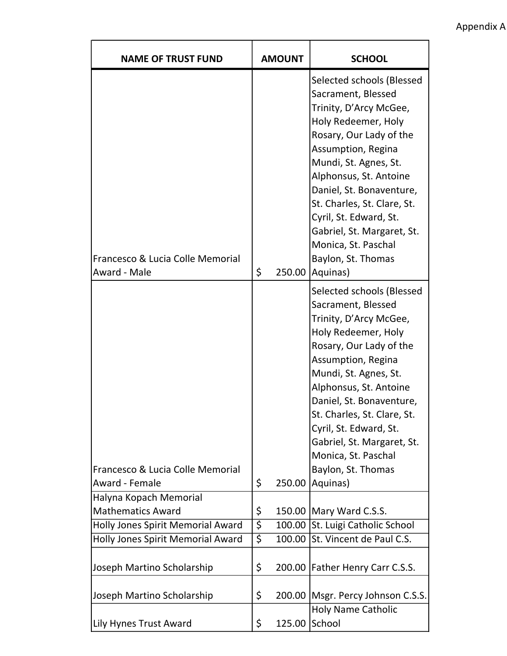Appendix A

| <b>NAME OF TRUST FUND</b>                          |                  | <b>AMOUNT</b> | <b>SCHOOL</b>                                                                                                                                                                                                                                                                                                                                                                    |
|----------------------------------------------------|------------------|---------------|----------------------------------------------------------------------------------------------------------------------------------------------------------------------------------------------------------------------------------------------------------------------------------------------------------------------------------------------------------------------------------|
| Francesco & Lucia Colle Memorial<br>Award - Male   | \$               | 250.00        | Selected schools (Blessed<br>Sacrament, Blessed<br>Trinity, D'Arcy McGee,<br>Holy Redeemer, Holy<br>Rosary, Our Lady of the<br>Assumption, Regina<br>Mundi, St. Agnes, St.<br>Alphonsus, St. Antoine<br>Daniel, St. Bonaventure,<br>St. Charles, St. Clare, St.<br>Cyril, St. Edward, St.<br>Gabriel, St. Margaret, St.<br>Monica, St. Paschal<br>Baylon, St. Thomas<br>Aquinas) |
| Francesco & Lucia Colle Memorial<br>Award - Female | \$               | 250.00        | Selected schools (Blessed<br>Sacrament, Blessed<br>Trinity, D'Arcy McGee,<br>Holy Redeemer, Holy<br>Rosary, Our Lady of the<br>Assumption, Regina<br>Mundi, St. Agnes, St.<br>Alphonsus, St. Antoine<br>Daniel, St. Bonaventure,<br>St. Charles, St. Clare, St.<br>Cyril, St. Edward, St.<br>Gabriel, St. Margaret, St.<br>Monica, St. Paschal<br>Baylon, St. Thomas<br>Aquinas) |
| Halyna Kopach Memorial<br><b>Mathematics Award</b> | \$               |               | 150.00 Mary Ward C.S.S.                                                                                                                                                                                                                                                                                                                                                          |
| Holly Jones Spirit Memorial Award                  | $\overline{\xi}$ |               | 100.00 St. Luigi Catholic School                                                                                                                                                                                                                                                                                                                                                 |
| Holly Jones Spirit Memorial Award                  | $\overline{\xi}$ | 100.00        | St. Vincent de Paul C.S.                                                                                                                                                                                                                                                                                                                                                         |
| Joseph Martino Scholarship                         | \$               |               | 200.00   Father Henry Carr C.S.S.                                                                                                                                                                                                                                                                                                                                                |
| Joseph Martino Scholarship                         | \$               |               | 200.00   Msgr. Percy Johnson C.S.S.<br><b>Holy Name Catholic</b>                                                                                                                                                                                                                                                                                                                 |
| Lily Hynes Trust Award                             | \$               | 125.00        | School                                                                                                                                                                                                                                                                                                                                                                           |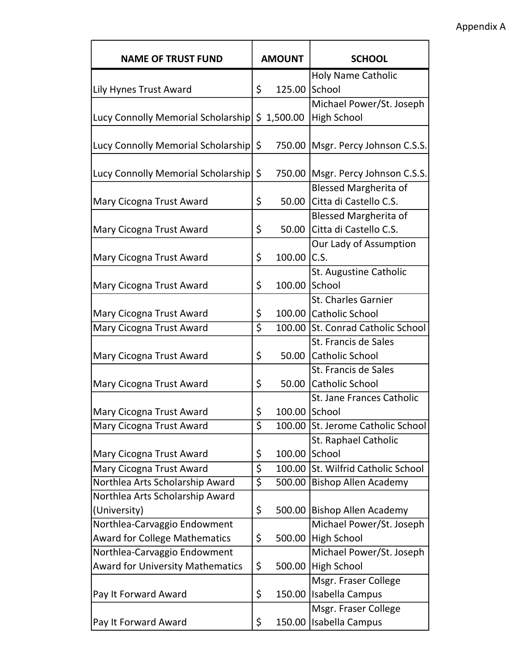| <b>NAME OF TRUST FUND</b>                        |                                 | <b>AMOUNT</b> | <b>SCHOOL</b>                       |
|--------------------------------------------------|---------------------------------|---------------|-------------------------------------|
|                                                  |                                 |               | <b>Holy Name Catholic</b>           |
| Lily Hynes Trust Award                           | \$                              | 125.00        | School                              |
|                                                  |                                 |               | Michael Power/St. Joseph            |
| Lucy Connolly Memorial Scholarship   \$ 1,500.00 |                                 |               | <b>High School</b>                  |
|                                                  |                                 |               |                                     |
| Lucy Connolly Memorial Scholarship \$            |                                 |               | 750.00   Msgr. Percy Johnson C.S.S. |
|                                                  |                                 |               |                                     |
| Lucy Connolly Memorial Scholarship               | \$                              |               | 750.00   Msgr. Percy Johnson C.S.S. |
|                                                  |                                 |               | <b>Blessed Margherita of</b>        |
| Mary Cicogna Trust Award                         | \$                              |               | 50.00 Citta di Castello C.S.        |
|                                                  |                                 |               | <b>Blessed Margherita of</b>        |
| Mary Cicogna Trust Award                         | \$                              |               | 50.00 Citta di Castello C.S.        |
|                                                  |                                 |               | Our Lady of Assumption              |
| Mary Cicogna Trust Award                         | \$                              | 100.00 C.S.   |                                     |
|                                                  |                                 |               | St. Augustine Catholic              |
| Mary Cicogna Trust Award                         | \$                              | 100.00        | School                              |
|                                                  |                                 |               | <b>St. Charles Garnier</b>          |
| Mary Cicogna Trust Award                         | \$                              |               | 100.00 Catholic School              |
| Mary Cicogna Trust Award                         | $\overline{\boldsymbol{\zeta}}$ |               | 100.00 St. Conrad Catholic School   |
|                                                  |                                 |               | St. Francis de Sales                |
| Mary Cicogna Trust Award                         | \$                              |               | 50.00 Catholic School               |
|                                                  |                                 |               | St. Francis de Sales                |
| Mary Cicogna Trust Award                         | \$                              |               | 50.00 Catholic School               |
|                                                  |                                 |               | <b>St. Jane Frances Catholic</b>    |
| <b>Mary Cicogna Trust Award</b>                  | \$                              |               | 100.00 School                       |
| Mary Cicogna Trust Award                         | \$                              |               | 100.00 St. Jerome Catholic School   |
|                                                  |                                 |               | St. Raphael Catholic                |
| Mary Cicogna Trust Award                         | \$                              | 100.00        | School                              |
| Mary Cicogna Trust Award                         | \$                              | 100.00        | St. Wilfrid Catholic School         |
| Northlea Arts Scholarship Award                  | $\overline{\varsigma}$          | 500.00        | <b>Bishop Allen Academy</b>         |
| Northlea Arts Scholarship Award                  |                                 |               |                                     |
| (University)                                     | \$                              |               | 500.00 Bishop Allen Academy         |
| Northlea-Carvaggio Endowment                     |                                 |               | Michael Power/St. Joseph            |
| <b>Award for College Mathematics</b>             | \$                              | 500.00        | <b>High School</b>                  |
| Northlea-Carvaggio Endowment                     |                                 |               | Michael Power/St. Joseph            |
| <b>Award for University Mathematics</b>          | \$                              | 500.00        | <b>High School</b>                  |
|                                                  |                                 |               | Msgr. Fraser College                |
| Pay It Forward Award                             | \$                              |               | 150.00   Isabella Campus            |
|                                                  |                                 |               | Msgr. Fraser College                |
| Pay It Forward Award                             | \$                              | 150.00        | Isabella Campus                     |